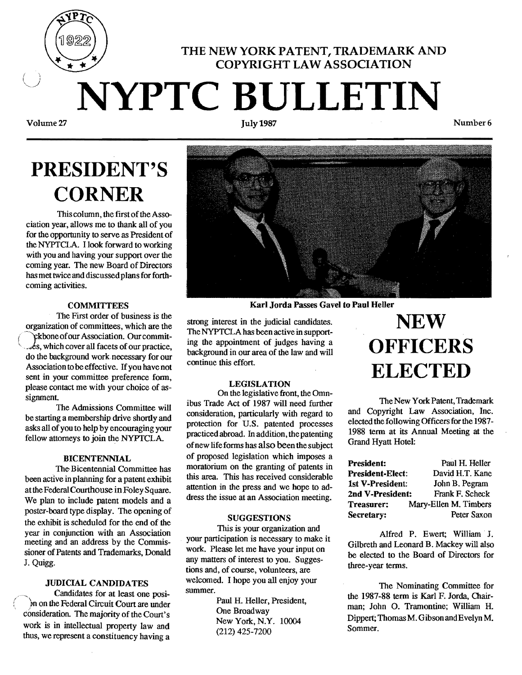# THE NEW YORK PATENT, TRADEMARK AND COPYRIGHT LAW ASSOCIATION **NYPTC BULLETIN**

Volume 27

# **PRESIDENT'S CORNER**

This column, the first of the Association year, allows me to thank all of you for the opportunity to serve as President of the NYPTCLA. I look forward to working with you and having your support over the coming year. The new Board of Directors has met twice and discussed plans for forthcoming activities.

### **COMMITTEES**

The First order of business is the organization of committees, which are the ckbone of our Association. Our commit- $\&$ s, which cover all facets of our practice, do the background work necessary for our Association to be effective. If you have not sent in your committee preference form, please contact me with your choice of assignment.

The Admissions Committee will be starting a membership drive shortly and asks all of you to help by encouraging your fellow attorneys to join the NYPTCLA.

#### BICENTENNIAL

The-Bicentennial Committee has been active in planning for a patent exhibit atthe Federal Courthouse inFoley Square. We plan to include patent models and a poster-board type display. The opening of the exhibit is scheduled for the end of the year in conjunction with an Association meeting and an address by the Commissioner of Patents and Trademarks, Donald J. Quigg.

#### JUDICIAL CANDIDATES

Candidates for at least one posi-In on the Federal Circuit Court are under consideration. The majority of the Court's work is in intellectual property law and thus, we represent a constituency having a





Karl Jorda Passes Gavel to Paul Heller

strong interest in the judicial candidates. The NYPTCLA has been active in supporting the appointment of judges having a background in our area of the law and will continue this effort.

#### LEGISLATION

On the legislative front, the Omnibus Trade Act of 1987 will need further consideration, particularly with regard to protection for U.S. patented processes practiced abroad. Inaddition, the patenting ofnew life forms has also beenthe subject of proposed legislation which imposes a moratorium on the granting of patents in this area. This has received considerable attention in the press and we hope to address the issue at an Association meeting.

### **SUGGESTIONS**

This is your organization and your participation is necessary to make it work. Please let me have your input on any matters of interest to you. Suggestions and, of course, volunteers, are welcomed. I hope you all enjoy your summer.

> Paul H. Heller, President, One Broadway New York, N.Y. 10004 (212) 425-7200

# **NEW OFFICERS ELECTED**

The New York Patent, Trademark and Copyright Law Association, Inc. elected the following Officers for the 1987 1988 term at its Annual Meeting at the Grand Hyatt Hotel:

| <b>President:</b>       | Paul H. Heller        |
|-------------------------|-----------------------|
| <b>President-Elect:</b> | David H.T. Kane       |
| 1st V-President:        | John B. Pegram        |
| 2nd V-President:        | Frank F. Scheck       |
| Treasurer:              | Mary-Ellen M. Timbers |
| Secretary:              | Peter Saxon           |

Alfred P. Ewert; William' J. Gilbreth and Leonard B. Mackey will also be elected to the Board of Directors for three-year terms.

The Nominating Committee for the 1987-88 term is Karl F. Jorda. Chairman; John O. Tramontine; William H. Dippert; Thomas M. Gibson and Evelyn M. Sommer.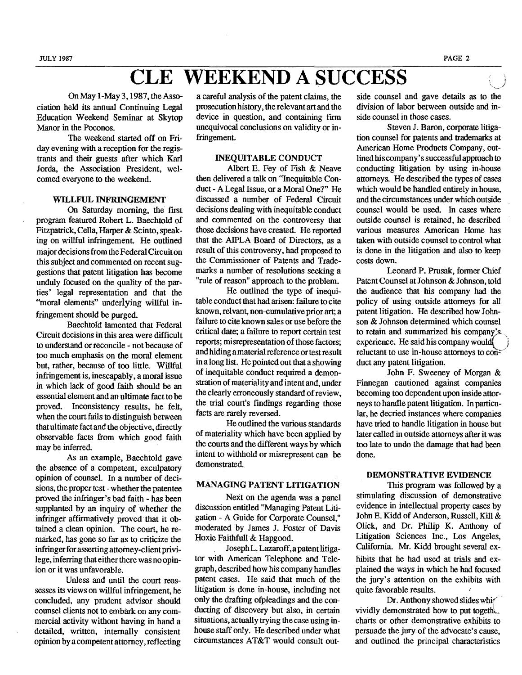### **CLE WEEKEND A SUCCESS**

On May I-May 3, 1987, the Association held its annual Continuing Legal Education Weekend Seminar at Skytop Manor in the Poconos.

The weekend started off on Friday evening with a reception for the registrants and their guests after which Karl Jorda, the Association President, welcomed everyone to the weekend.

#### WILLFUL INFRINGEMENT

On Saturday morning, the first program featured Robert L. Baechtold of Fitzpatrick, Cella, Harper & Scinto, speaking on willful infringement. He outlined major decisions from the Federal Circuit on this subject and commented on recent suggestions that patent litigation has become unduly focused on the quality of the parties' legal representation and that the "moral elements" underlying willful infringement should be purged.

Baechtold lamented that Federal Circuit decisions in this area were difficult to understand or reconcile - not because of too much emphasis on the moral element but, rather, because of too little. Willful infringement is, inescapably, a moral issue in which lack of good faith should be an essential element and an ultimate fact to be proved. Inconsistency results, he felt, when the court fails to distinguish between that ultimate fact and the objective, directly observable facts from which good faith may be inferred.

As an example, Baechtold gave the absence of a competent, exculpatory opinion of counsel. In a number of decisions, the proper test - whether the patentee proved the infringer's bad faith - has been supplanted by an inquiry of whether the infringer affirmatively proved that it obtained a clean opinion. The court, he remarked, has gone so far as to criticize the infringer for asserting attorney-client privilege, inferring that either there was no opinion or it was unfavorable.

Unless and until the court reassesses its views on willful infringement, he concluded, any prudent advisor should counsel clients not to embark on any commercial activity without having in hand a detailed, written, internally consistent opinion by a competent attorney, reflecting

a careful analysis of the patent claims, the prosecution history, the relevant art and the device in question, and containing firm unequivocal conclusions on validity or infringement.

#### INEQUITABLE CONDUCT

Albert E. Fey of Fish & Neave then delivered a talk on "Inequitable Conduct - A Legal Issue, or a Moral One?" He discussed a number of Federal Circuit decisions dealing with inequitable conduct and commented on. the controversy that those decisions have created. He reported that the AIPLA Board of Directors, as a result of this controversy, had proposed to the Commissioner of Patents and Trademarks a number of resolutions seeking a "rule of reason" approach to the problem.

He outlined the type of inequitable conduct that had arisen: failure to cite known, relvant, non-cumulative prior art; a failure to cite known sales or use before the critical date; a failure to report certain test reports; misrepresentation of those factors; and hiding a material reference or test result in a long list. Hepointed out that a showing of inequitable conduct required a demonstration of materiality and intent and, under the clearly erroneously standard of review. the trial court's findings regarding those facts are rarely reversed.

He outlined the various standards of materiality which have been applied by the courts and the different ways by which intent to withhold or misrepresent can be demonstrated.

#### MANAGING PATENT LITIGATION

Next on the agenda was a panel discussion entitled "Managing Patent Litigation - A Guide for Corporate Counsel," moderated by James J. Foster of Davis Hoxie Faithfull & Hapgood.

Joseph L. Lazaroff, a patent litigator with American Telephone and Telegraph, described how his company handles patent cases. He said that much of the litigation is done in-house, including not only the drafting ofpleadings and the conducting of discovery but also, in certain situations, actually trying the case using inhonse staff only. He described under what circumstances AT&T would consult outside counsel and gave details as to the division of labor between outside and inside counsel in those cases.

Steven J. Baron, corporate litigation counsel for patents and trademarks at American Home Products Company, outlined his company's successful approach to conducting litigation by using in-house attorneys. He described the types of cases which would be handled entirely in house, and the circumstances under which outside counsel would be used. In cases where outside counsel is retained, he described various measures American HOme has taken with outside counsel to control what is done in the litigation and also to keep costs down.

Leonard P. Prusak, former Chief Patent Counsel at Johnson & Johnson, told the audience that his company had the policy of using outside attorneys for all patent litigation. He described how Johnson & Johnson determined which counsel to retain and summarized his company's. experience. He said his company would reluctant to use in-house attorneys to con= duct any patent litigation.

John F. Sweeney of Morgan & Finnegan cautioned against companies becoming too dependent upon inside attorneys to handle patent litigation. In particular, he decried instances where Companies have tried to handle litigation in house but later called in outside attorneys after it was too late to undo the damage that had been done.

#### DEMONSTRATIVE EVIDENCE

This program was followed by a stimulating discussion of demonstrative evidence in intellectual property cases by John E. Kidd of Anderson, Russell, Kill & Olick, and Dr. Philip K. Anthony of Litigation Sciences Inc., Los Angeles, California. Mr. Kidd brought several exhibits that he had used at trials and explained the ways in which he had focused the jury's attention on the exhibits with quite favorable results.

Dr. Anthony showed slides which vividly demonstrated how to put togeth $\mathcal{L}$ . charts or other demonstrative exhibits to persuade the jury of the advocate's cause, and outlined the principal characteristics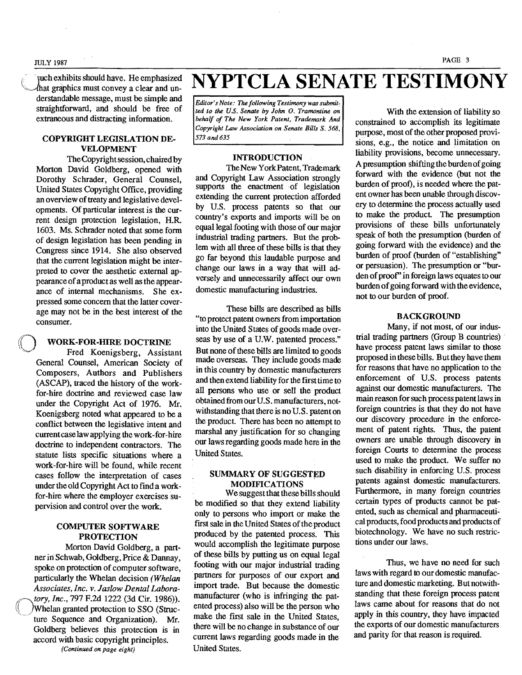#### PAGE 3 JULY 1987

 $\epsilon$  in nch exhibits should have. He emphasized derstandable message, must be simple and straightforward, and should be free of extraneous and distracting information.

#### COPYRIGHT LEGISLATION DE-VELOPMENT

TheCopyright session, chaired by Morton David Goldberg. opened with Dorothy Schrader, General Counsel, United States Copyright Office, providing an overview of treaty and legislative developments. Of particular interest is the current design protection legislation, H.R. 1603. Ms. Schrader noted that some fonn of design legislation has been pending in Congress since 1914. She also observed that the current legislation might be interpreted to cover the aesthetic external appearanceofa product as well as the appearance of internal mechanisms. She expressed some concern that the latter coverage may not be in the best interest of the consumer.

#### WORK-FOR-HIRE DOCTRINE

Fred Koenigsberg, Assistant General Counsel, American Society of Composers, Authors and Publishers (ASCAP), traced the history of the workfor-hire doctrine and reviewed case law under the Copyright Act of 1976. Mr. Koenigsberg noted what appeared to be a conflict between the legislative intent and current case law applying the work-for-hire doctrine to independent contractors. The statute lists specific situations where a work-for-hire will be found, while recent cases follow the interpretation of cases under the old Copyright Act to find a workfor-hire where the employer exercises supervision and control over the work.

#### COMPUTER SOFTWARE **PROTECTION**

Morton David Goldberg, a partner inSchwab, Goldberg, Price & Dannay, spoke on protection of computer software, particularly the Whelan decision *(Whelan Associates, Inc.* v. *laslow Dental Lahora ((,tory, Inc.,* 797 F.2d 1222 (3d Cir. 1986)). \\~jWhelan granted protection to SSO (Structure Sequence and Organization). Mr. Goldberg believes this protection is in accord with basic copyright principles. *(Continued on page eight)* 

fuch exhibits should have. He emphasized NYPTCLA SENATE TESTIMONY

Editor's Note: The following Testimony was submit*ted to the U.S. Senate by John O. Tramontine on behalf* of *The New York Patent, Trademark And Copyright Law Association on Senate Bills* S. 568, 573 *and* 635

#### INTRODUCTION

The New York Patent, Trademark and Copyright Law Association strongly supports the enactment of legislation extending the current protection afforded by U.S. process patents so that our country's exports and imports will be on equal legal footing with those of our major industrial trading partners. But the problem with all three of these bills is that they go far beyond this laudable purpose and change our laws in a way that will adversely and unnecessarily affect our own domestic manufacturing industries.

These bills are described as bills "to protect patent owners from importation into the United States of goods made overseas by use of a U.W. patented process." But none of these bills are limited to goods made overseas. They include goods made in this country by domestic manufacturers and then extend liability for the frrsttime to all persons who use or sell the product obtained from our U.S. manufacturers, notwithstanding that there is no U.S. patent on the product. There has been no attempt to marshal any justification for so changing our laws regarding goods made here in the United States.

#### SUMMARY OF SUGGESTED MODIFICATIONS .

We suggest that these bills should be modified so that they extend liability only to persons who import or make the first sale in the United States of the product produced by the patented process. This would accomplish the legitimate purpose of these bills by putting us on equal legal . footing with our major industrial trading partners for purposes of our export and import trade. But because the domestic manufacturer (who is infringing the patented process) also will be the person who make the first sale in the United States, there will be no change in substance of our current laws regarding goods made in the United States.

With the extension of liability so constrained to accomplish its legitimate purpose, most of the other proposed provisions, e.g., the notice and limitation on liability provisions, become unnecessary. A presumption shifting the burden of going forward with the evidence (but not the burden of proot) , is needed where the patent owner has been unable through discovery to determine the process actually used to make the product. The presumption provisions of these bills unfortunately speak of both the presumption (burden of going forward with the evidence) and the burden of proof (burden of "establishing" or persuasion). The presumption or "burden of proof" in foreign laws equates to our burden of going forward with the evidence, not to our burden of proof.

#### BACKGROUND

Many, if not most, of our industrial trading partners (Group B countries) have process patent laws similar to those proposed in these bills. Butthey have them for reasons that have no application to the enforcement of U.S. process patents against our domestic manufacturers. The main reason for such process patent laws in foreign countries is that they do not have our discovery procedure in the enforcement of patent rights. Thus, the patent owners are unable through discovery in foreign Courts to detennine the process used to make the product. We suffer no such disability in enforcing U.S. process patents against domestic manufacturers. Furthermore, in many foreign countries certain types of products cannot be patented, such as chemical and pharmaceutical products, food products and products of biotechnology. We have no such restrictions under our laws.

Thus, we have no need for such laws with regard to our domestic manufacture and domestic marketing. But notwithstanding that these foreign process patent laws came about for reasons that do not apply in this country, they have impacted the exports of our domestic manufacturers and parity for that reason is required.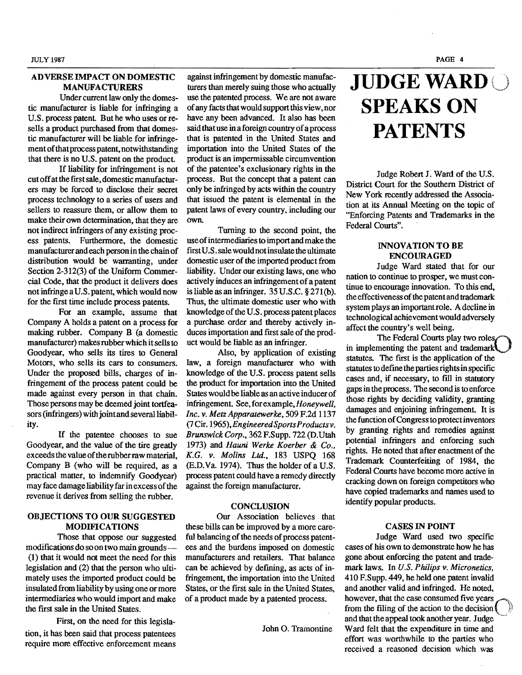#### ADVERSE IMPACT ON DOMESTIC MANUFACTURERS

Under current law only the domestic manufacturer is liable for infringing a U.S. process patent. But he who uses or resells a product purchased from that domestic manufacturer will be liable for infringement of that process patent, notwithstanding that there is no U.S. patent on the product.

If liability for infringement is not cut off at the first sale, domestic manufacturers may be forced to disclose their secret process technology to a series of users and sellers to reassure them, or allow them to make their own determination, that they are not indirect infringers of any existing process patents. Furthermore, the domestic manufacturer and each person in the chain of distribution would be warranting, under Section 2-312(3) of the Uniform Commercial Code, that the product it delivers does not infringe a U.S. patent, which would now for the first time include process patents.

For an example, assume that Company A holds a patent on a process for making rubber. Company B (a domestic manufacturer) makes rubber which itsells to Goodyear, who sells its tires to General Motors, who sells its cars to consumers. Under the proposed bills, charges of infringement of the process patent could be made against every person in that chain. Those persons may be deemed joint tortfeasors (infringers) with joint and several liability.

If the patentee chooses to sue Goodyear, and the value of the tire greatly exceeds the value of the rubber raw material, Company B (who will be required, as a practical matter, to indemnify Goodyear) may face damage liability far in excess of the revenue it derives from selling the rubber.

#### OBJECTIONS TO OUR SUGGESTED MODIFICATIONS

Those that oppose our suggested modifications do soon two main grounds (1) that it would not meet the need for this legislation and (2) that the person who ultimately uses the imported product could be insulated from liability by using one or more intermediaries who would import and make the frrst sale in the United States.

First, on the need for this legislation, it has been said that process patentees require more effective enforcement means

against infringement by domestic manufacturers than merely suing those who actually use the patented process. We are not aware of any facts that would support this view, nor have any been advanced. It also has been said that use in a foreign country of a process that is patented in the United States and importation into the United States of the product is an impermissable circumvention of the patentee's exclusionary rights in the process. But the concept that a patent can only be infringed by acts within the country that issued the patent is elemental in the patent laws of every country, including our own.

Turning to the second point, the useofintermediaries to import and make the frrst U.S. sale would not insulate the ultimate domestic user of the imported product from liability. Under our existing laws, one who actively induces an infringement of a patent is liable as an infringer. 35U.S.C. § 271(b). Thus, the ultimate domestic user who with knowledge of the U.S. process patent places a purchase order and thereby actively induces importation and first sale of the product would be liable as an infringer.

Also, by application of existing law, a foreign manufacturer who with knowledge of the U.S. process patent sells the product for importation into the United States would be liable as an active inducer of infringement. See, for example, *Honeywell, Inc. v. Metz Apparatewerke,* 509 F.2d 1137 (7 Cir. 1965), *Engineered Sports Productsv. Brunswick Corp.,* 362 F.Supp. 722 (D.Utah 1973) and *Hauni Werke Koerber* & *Co., K.G. v. Molins Ltd.,* 183 USPQ 168 (RD.Ya.1974). Thus the holder of a U.S. process patent could have a remedy directly against the foreign manufacturer.

#### **CONCLUSION**

Our Association believes that these bills can be improved by a more careful balancing of the needs of process patentees and the burdens imposed on domestic manufacturers and retailers. That balance can be achieved by defining, as acts of infringement, the importation into the United States, or the frrst sale in the United States, of a product made by a patented process.

John O. Tramontine

# **JUDGE WARD** SPEAKS ON **PATENTS**

Judge Robert J. Ward of the U.S. District Court for the Southern District of New York recently addressed the Association at its Annual Meeting on the topic of "Enforcing Patents and Trademarks in the Federal Courts".

#### INNOVATION TO BE ENCOURAGED

Judge Ward stated that for our nation to continue to prosper, we must continue to encourage innovation. To this end, the effectiveness of the patent and trademark system plays an important role. A decline in technological achievement would adversely affect the country's well being.

The Federal Courts play two roles. in implementing the patent and trademark $\overline{A}$ statutes. The frrst is the application of the statutes to define the parties rights in specific cases and, if necessary, to fill in statutory gaps in the process. The second is to enforce those rights by deciding Validity, granting damages and enjoining infringement. It is the function of Congress to protect inventors by granting rights and remedies against potential infringers and enforcing such rights. He noted that after enactment of the Trademark Counterfeiting of 1984, the Federal Courts have become more active in cracking down on foreign competitors who have copied trademarks and names used to identify popular products.

#### CASES IN POINT

Judge Ward used two specific cases of his own to demonstrate how he has gone about enforcing the patent and trademark laws. In *U.S. Philips v. Micronetics.*  410 F.Supp. 449, he held one patent invalid and another valid and infringed. He noted, however, that the case consumed five years from the filing of the action to the decision and that the appeal took another year. Judge Ward felt that the expenditure in time and effort was worthwhile to the parties who received a reasoned decision which was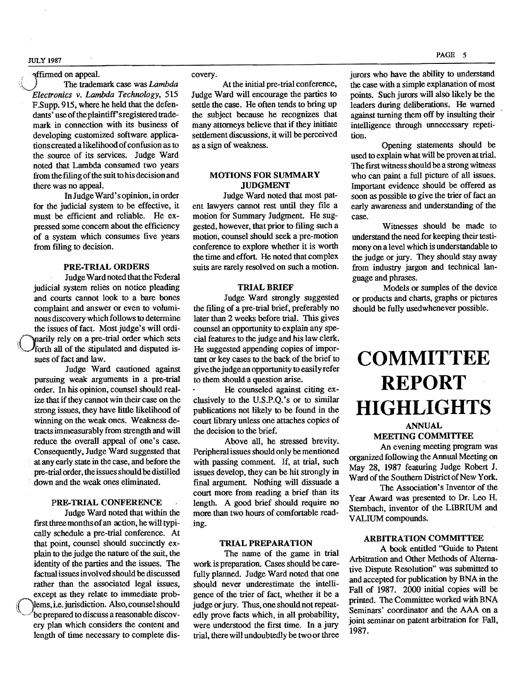JULy 1981

### **Affirmed on appeal.**

The trademark case was *Lambda Electronics v. Lambda Technology, 515*  F.Supp. 915, where he held that the defendants' use of the plaintiff's registered trademark in connection with its business of developing customized software applications created a likelihood of confusion as to the source of its services. Judge Ward noted that Lambda consumed two years from the filing of the suit to his decision and there was no appeal.

In JudgeWard's opinion, in order for the judicial system to be effective, it must be efficient and reliable. He expressed some concern about the efficiency of a system which consumes five years from filing to decision.

#### PRE-TRIAL ORDERS

JudgeWardnoted that the Federal judicial system relies on notice pleading and courts cannot look to a bare bones complaint and answer or even to voluminous discovery which follows to determine the issues of fact. Most judge's will ordi marily rely on a pre-trial order which sets forth all of the stipulated and disputed issues of fact and law.

Judge Ward cautioned against pursuing weak arguments in a pre-trial order. In his opinion, counsel should realize that if they cannot win their case on the strong issues, they have little likelihood of winning on the weak ones. Weakness detracts immeasurably from strength and will reduce the overall appeal of one's case. Consequently, Judge Ward suggested that . at any early state in the case. and before the pre-trial order, the issues should be distilled down and the weak ones eliminated.

#### PRE-TRIAL CONFERENCE

Judge Ward noted that within the first three months of an action, he will typically schedule a pre-trial conference. At that point, counsel should succinctly explain to the judge the nature of the suit, the identity of the parties and the issues. The factual issues in vol ved should be discussed rather than the associated legal issues, except as they relate to immediate prob (Mems, i.e. jurisdiction. Also, counsel should<br>be prepared to discuss a reasonable discovery plan which considers the content and length of time necessary to complete dis-

#### covery.

At the initial pre-trial conference, Judge Ward will encourage the parties to settle the case. He often tends to bring up the subject because he recognizes that many attorneys believe that if they initiate settlement discussions. it will be perceived as a sign of weakness.

#### MOTIONS FOR SUMMARY JUDGMENT

Judge Ward noted that most patent lawyers cannot rest until they file a motion for Summary Judgment. He suggested, however, that prior to filing such a motion, counsel should seek a pre-motion conference to explore whether it is worth the time and effort. He noted that complex suits are rarely resolved on such a motion.

#### TRIAL BRIEF

Judge Ward strongly suggested the filing of a pre-trial brief, preferably no later than 2 weeks before trial. This gives counsel an opportunity to explain any special features to the judge and his law clerk. He suggested appending copies of important or key cases to the back of the brief to give the judge an opportunity to easily refer to them should a question arise.

He counseled against citing exclusively to the U.S.P.Q.'s or to similar publications not likely to be found in the court library unless one attaches copies of the decision to the brief.

Above all. he stressed brevity. Peripheral issues should only be mentioned with passing comment. If, at trial, such issues develop, they can be hit strongly in final argument. Nothing will dissuade a court more from reading a brief than its length. A good brief should require no more than two hours of comfortable reading.

#### TRIAL PREPARATION

The name of the game in trial work is preparation. Cases should be carefully planned. Judge Ward noted that one should never underestimate the intelligence of the trier of fact, whether it be a judge or jury. Thus, one should not repeatedly prove facts which. in all probability, were understood the first time. In a jury trial, there will undoubtedly be twoor three

jurors who have the ability to understand the case with a simple explanation of most points. Such jurors will also likely be the leaders during deliberations. He warned against turning them off by insulting their intelligence through unnecessary repetition.

Opening statements should be used to explain whatwill be proven at trial. The first witness should be a strong witness who can paint a full picture of all issues. Important evidence should be offered as soon as possible to give the trier of fact an early awareness and understanding of the case.

Witnesses should be made to understand the need for keeping their testimonyon a level which is understandable to the judge or jury. They should stay away from industry jargon and technical language and phrases.

Models or samples of the device or products and charts, graphs or pictures should be fully usedwhenever possible.

## **COMMITTEE REPORT HIGHLIGHTS**

#### ANNUAL MEETING COMMITTEE

An evening meeting program was organized following the Annual Meeting on May 28. 1987 featuring Judge Robert J. Ward of the Southern District of New York.

The Association's Inventor of the Year Award was presented to Dr. Leo H. Sternbach, inventor of the LIBRIUM and VALlUM compounds.

### ARBITRATION COMMITTEE

A book entitled "Guide to Patent Arbitration and Other Methods of Alternative Dispute Resolution" was submitted to and accepted for publication by BNA in the Fall of 1987. 2000 initial copies will be printed. The Committee worked with BNA Seminars' coordinator and the AAA on a joint seminar on patent arbitration for Fall, 1987.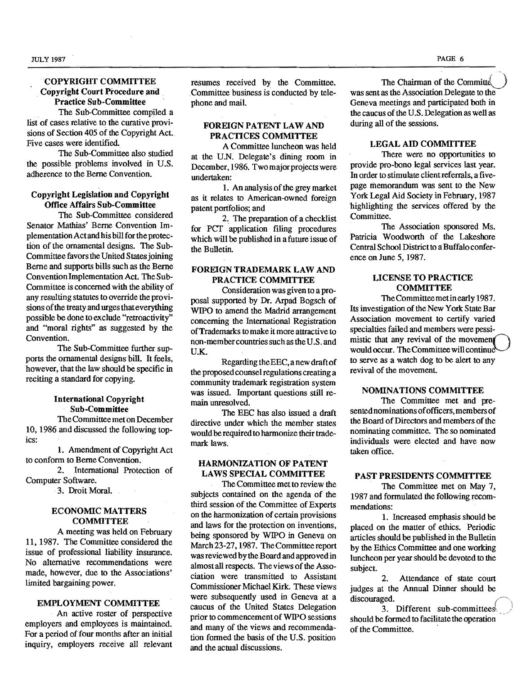#### COPYRIGHf COMMITTEE Copyright Court Procedure and Practice Sub-Committee

The Sub-Committee compiled a list of cases relative to the curative provisions of Section 405 of the Copyright Act. Five cases were identified.

The Sub-Committee also studied the possible problems involved in U.S. adherence to the Berne Convention.

#### Copyright Legislation and Copyright Office Affairs Sub-Committee

The Sub-Committee considered Senator Mathias' Berne Convention Implementation Act and his bill for the protection of the ornamental designs. The Sub-Committee favors the United States joining Berne and supports bills such as the Berne Convention Implementation Act. The Sub-Committee is concerned with the ability of any resulting statutes to override the provisions of the treaty and urges that everything possible be done to exclude "retroactivity" and "moral rights" as suggested by the Convention.

The Sub-Committee further supports the ornamental designs bill. It feels, however, that the law should be specific in reciting a standard for copying.

#### International Copyright Sub-Committee

The Committee met on December 10, 1986 and discussed the following topics:

1. Amendment of Copyright Act to conform to Berne Convention.

2. International Protection of Computer Software.

3. Droit Moral.

#### ECONOMIC MATTERS **COMMITTEE**

A meeting was held on February 11,1987. The Committee considered the issue of professional liability insurance. No alternative recommendations were made, however, due to the Associations' limited bargaining power.

#### EMPLOYMENT COMMITTEE

An active roster of perspective employers and employees is maintained. For a period of four months after an initial inquiry, employers receive all relevant

resumes received by the Committee. Committee business is conducted by telephone and mail.

#### FOREIGN PATENT LAW AND PRACTICES COMMITTEE

A Committee luncheon was held at the U.N. Delegate's dining room in December, 1986. Two major projects were undertaken:

1. An analysis of the grey market as it relates to American-owned foreign patent portfolios; and

2.. The preparation of a checklist for PCT application filing procedures which will be published in a future issue of the Bulletin.

#### FOREIGN TRADEMARK LAW AND PRACTICE COMMITTEE

Consideration was given to a proposal supported by Dr. Arpad Bogsch of WIPO to amend the Madrid arrangement concerning the International Registration of Trademarks to make it more attractive to non-member countries such as the U.S. and U.K.

Regarding theEEC, a new draft of the proposed counsel regulations creating a community trademark registration system was issued. Important questions still remain unresolved.

The EEC has also issued a draft directive under which the member states would be required to harmonize their trademark laws.

#### HARMONIZATION OF PATENT LAWS SPECIAL COMMITTEE

The Committee met to review the subjects contained on the agenda of the third session of the Committee of Experts on the harmonization of certain provisions and laws for the protection on inventions, being sponsored by WIPO in Geneva on March 23-27, 1987. The Committee report was reviewed by the Board and approved in almost all respects. The views of the Association were transmitted to Assistant Commissioner Michael Kirk. These views were subsequently used in Geneva at a caucus of the United States Delegation prior to commencement of WIPO sessions and many of the views and recommendation formed the basis of the U.S. position and the actual discussions.

The Chairman of the Committe was sent as the Association Delegate to the Geneva meetings and participated both in the caucus of the U.S. Delegation as well as during all of the sessions.

#### LEGAL AID COMMITTEE

There were no opportunities to provide pro-bono legal services last year. In order to stimulate client referrals, a fivepage memorandum was sent to the New York Legal Aid Society in February, 1987 'highlighting the services offered 'by the Committee.

The Association sponsored Ms. Patricia Woodworth of the Lakeshore Central School District to a Buffalo conference on June 5, 1987.

#### LICENSE TO PRACTICE **COMMITTEE**

The Committee met in early 1987. Its investigation of the New York State Bar Association movement to certify varied specialties failed and members were pessimistic that any revival of the movement would occur. The Committee will continue to serve as a watch dog to be alert to any revival of the movement.

#### NOMINATIONS COMMITTEE

The Committee met and presented nominations of officers, members of the Board of Directors and members of the nominating committee. The so nominated individuals were elected and have now taken office.

#### PAST PRESIDENTS COMMITTEE

The Committee met on May 7, 1987 and formulated the following recommendations:

1. Increased emphasis should be placed on the matter of ethics. Periodic articles should be published in the Bulletin by the Ethics Committee and one working luncheon per year should be devoted to the subject.

2. Attendance of state court judges at the Annual Dinner should be discouraged.

3. Different sub-committees. should be formed to facilitate the operation of the Committee. .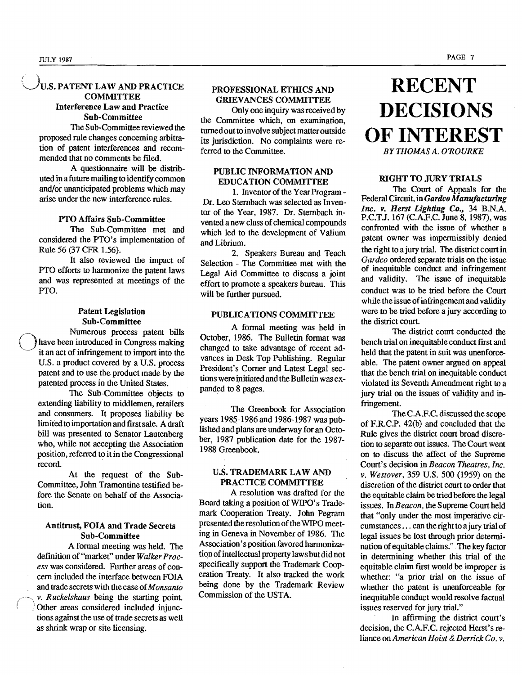$\left( \begin{array}{cc} \end{array} \right)$ 

### U.S. PATENT LAW AND PRACTICE **COMMITTEE** Interference Law and Practice Sub-Committee

The Sub-Committee reviewed the proposed rule changes concerning arbitration of patent interferences and recommended that no comments be filed.

A questionnaire will be distributed in a future mailing to identify common and/or unanticipated problems which may arise under the new interference rules.

#### PTO Affairs Sub-Committee

The Sub-Committee met and considered the PTO's implementation of Rule 56 (37 CPR 1.56).

It also reviewed the impact of PTO efforts to harmonize the patent laws and was represented at meetings of the PTO.

### Patent Legislation

Sub-Committee<br>Numerous process patent bills have been introduced in Congress making it an act of infringement to import into the U.S. a product covered by a U.S. process patent and to use the product made by the patented process in the United States.

The Sub-Committee objects to extending liability to middlemen, retailers and consumers. It proposes liability be limited to importation and first sale. A draft bill was presented to Senator Lautenberg who, while not accepting the Association position, referred to it in the Congressional record.

At the request of the Sub-Committee, John Tramontine testified before the Senate on behalf of the Association.

### Antitrust, FOIA and Trade Secrets Sub-Committee

A formal meeting was held. The definition of "market" under *Walker Process* was considered. Further areas of concern included the interface between FOIA and trade secrets with the case of*Monsanto v. Ruckelshaus* being the starting point . Other areas considered included injunctions against the use of trade secrets as well as shrink wrap or site licensing.

### PROFESSIONAL ETHICS AND GRIEVANCES COMMITTEE

Only one inquiry was received by the Committee which, on examination, turned out to involve subject matter outside its jurisdiction. No complaints were referred to the Committee.

#### PUBLIC INFORMATION AND EDUCATION COMMITTEE

1. Inventor of the Year Program - Dr. Leo Sternbach was selected as Inventor of the Year, 1987. Dr. Sternbach invented a new class of chemical compounds which led to the development of Valium and Librium.

2. Speakers Bureau and Teach Selection - The Committee met with the Legal Aid Committee to discuss a joint effort to promote a speakers bureau. This will be further pursued.

#### PUBLICATIONS COMMITTEE

A formal meeting was held in October, 1986. The Bulletin format was changed to take advantage of recent advances in Desk Top Publishing. Regular President's Corner and Latest Legal sections were initiated and the Bulletin was expanded to 8 pages.

The Greenbook for Association years 1985-1986 and 1986-1987 was published and plans are underway for an October, 1987 publication date for the 1987 1988 Greenbook.

#### U.S. TRADEMARK LAW AND PRACTICE COMMITTEE

A resolution was drafted for the Board taking a position ofWIPO's Trademark Cooperation Treaty. John Pegram presented the resolution of the WIPO meeting in Geneva in November of 1986. The Association's position favored harmonization of intellectual property laws but did not specifically support the Trademark Cooperation Treaty. It also tracked the work being done by the Trademark Review Commission of the USTA.

# **RECENT DECISIONS** OF INTEREST

BY THOMAS A. O'ROURKE

#### RIGHT TO JURY TRIALS

The Court of Appeals for the Federal Circuit, in *Gardco Manufacturing Inc. v. Herst Lighting Co.,* 34 B.N.A. P.C.T.J. 167 (C.A.F.C. June 8, 1987), was confronted with the issue of whether a patent owner was impermissibly denied the right to a jury trial. The district court in *Gardco* ordered separate trials on the issue of inequitable conduct and infringement and validity. The issue of inequitable conduct was to be tried before the Court while the issue of infringement and validity were to be tried before a jury according to the district court

The district court conducted the bench trial on inequitable conduct first and held that the patent in suit was unenforceable. The patent owner argued on appeal that the bench trial on inequitable conduct violated its Seventh Amendment right to a jury trial on the issues of validity and infringement.

TheC.A.F.C. discussed the scope of F.R.CP. 42(b) and concluded that the Rule gives the district court broad discretion to separate out issues. The Court went on to discuss the affect of the Supreme Court's decision in *Beacon Theatres, Inc.*  v. *Westover,* 359 U.S. 500 (1959) on the discretion of the district court to order that the equitable claim be tried before the legal issues. In *Beacon,* the Supreme Court held that "only under the most imperative circumstances ... can the right to a jury trial of legal issues be lost through prior determination ofequitable claims." The key factor in determining whether this trial of the equitable claim first would be improper is whether: "a prior trial on the issue of whether the patent is unenforceable for inequitable conduct would resolve factual issues reserved for jury trial."

In affirming the district court's decision, the C.A.F.C. rejected Herst's reliance on *American Hoist* & *Derrick Co. v.*